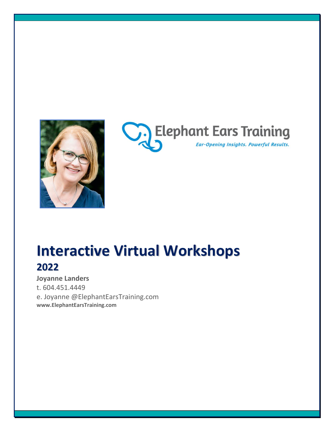



# **Interactive Virtual Workshops 2022**

**Joyanne Landers** t. 604.451.4449 e. Joyanne @ElephantEarsTraining.com **www.ElephantEarsTraining.com**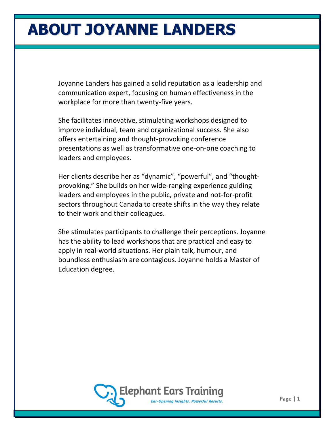# **ABOUT JOYANNE LANDERS**

Joyanne Landers has gained a solid reputation as a leadership and communication expert, focusing on human effectiveness in the workplace for more than twenty-five years.

She facilitates innovative, stimulating workshops designed to improve individual, team and organizational success. She also offers entertaining and thought-provoking conference presentations as well as transformative one-on-one coaching to leaders and employees.

Her clients describe her as "dynamic", "powerful", and "thoughtprovoking." She builds on her wide-ranging experience guiding leaders and employees in the public, private and not-for-profit sectors throughout Canada to create shifts in the way they relate to their work and their colleagues.

She stimulates participants to challenge their perceptions. Joyanne has the ability to lead workshops that are practical and easy to apply in real-world situations. Her plain talk, humour, and boundless enthusiasm are contagious. Joyanne holds a Master of Education degree.

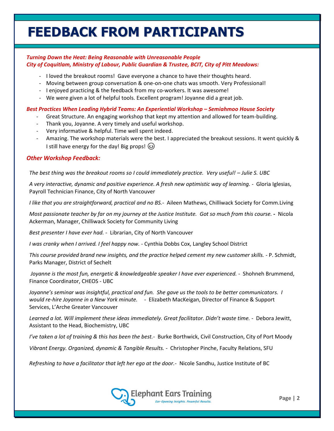# **FEEDBACK FROM PARTICIPANTS**

#### *Turning Down the Heat: Being Reasonable with Unreasonable People City of Coquitlam, Ministry of Labour, Public Guardian & Trustee, BCIT, City of Pitt Meadows:*

- I loved the breakout rooms! Gave everyone a chance to have their thoughts heard.
- Moving between group conversation & one-on-one chats was smooth. Very Professional!
- I enjoyed practicing & the feedback from my co-workers. It was awesome!
- We were given a lot of helpful tools. Excellent program! Joyanne did a great job.

#### *Best Practices When Leading Hybrid Teams: An Experiential Workshop – Semiahmoo House Society*

- Great Structure. An engaging workshop that kept my attention and allowed for team-building.
- Thank you, Joyanne. A very timely and useful workshop.
- Very informative & helpful. Time well spent indeed.
- Amazing. The workshop materials were the best. I appreciated the breakout sessions. It went quickly & I still have energy for the day! Big props!  $\circled{)}$

#### *Other Workshop Feedback:*

*The best thing was the breakout rooms so I could immediately practice. Very useful! – Julie S. UBC*

*A very interactive, dynamic and positive experience. A fresh new optimistic way of learning.* - Gloria Iglesias, Payroll Technician Finance, City of North Vancouver

*I like that you are straightforward, practical and no BS.*- Aileen Mathews, Chilliwack Society for Comm.Living

*Most passionate teacher by far on my journey at the Justice Institute. Got so much from this course.* **-** Nicola Ackerman, Manager, Chilliwack Society for Community Living

*Best presenter I have ever had.* - Librarian, City of North Vancouver

*I was cranky when I arrived. I feel happy now.* - Cynthia Dobbs Cox, Langley School District

*This course provided brand new insights, and the practice helped cement my new customer skills.* - P. Schmidt, Parks Manager, District of Sechelt

*Joyanne is the most fun, energetic & knowledgeable speaker I have ever experienced.* - Shohneh Brummend, Finance Coordinator, CHEOS - UBC

*Joyanne's seminar was insightful, practical and fun. She gave us the tools to be better communicators. I would re-hire Joyanne in a New York minute.* - Elizabeth MacKeigan, Director of Finance & Support Services, L'Arche Greater Vancouver

*Learned a lot. Will implement these ideas immediately. Great facilitator. Didn't waste time.* - Debora Jewitt, Assistant to the Head, Biochemistry, UBC

*I've taken a lot of training & this has been the best.*- Burke Borthwick, Civil Construction, City of Port Moody

*Vibrant Energy. Organized, dynamic & Tangible Results.* - Christopher Pinche, Faculty Relations, SFU

*Refreshing to have a facilitator that left her ego at the door.*- Nicole Sandhu, Justice Institute of BC

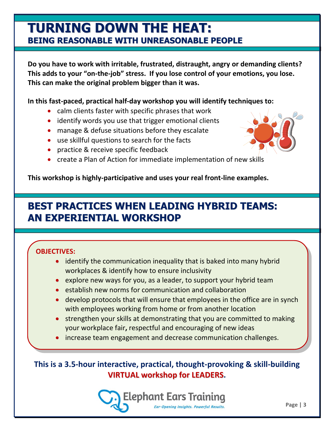### **TURNING DOWN THE HEAT: BEING REASONABLE WITH UNREASONABLE PEOPLE**

**Do you have to work with irritable, frustrated, distraught, angry or demanding clients? This adds to your "on-the-job" stress. If you lose control of your emotions, you lose. This can make the original problem bigger than it was.**

#### **In this fast-paced, practical half-day workshop you will identify techniques to:**

- calm clients faster with specific phrases that work
- identify words you use that trigger emotional clients
- manage & defuse situations before they escalate
- use skillful questions to search for the facts
- practice & receive specific feedback
- create a Plan of Action for immediate implementation of new skills

**This workshop is highly-participative and uses your real front-line examples.**

### **BEST PRACTICES WHEN LEADING HYBRID TEAMS: AN EXPERIENTIAL WORKSHOP**

#### **OBJECTIVES:**

- identify the communication inequality that is baked into many hybrid workplaces & identify how to ensure inclusivity
- explore new ways for you, as a leader, to support your hybrid team
- establish new norms for communication and collaboration
- develop protocols that will ensure that employees in the office are in synch with employees working from home or from another location
- strengthen your skills at demonstrating that you are committed to making your workplace fair**,** respectful and encouraging of new ideas
- increase team engagement and decrease communication challenges.

### **This is a 3.5-hour interactive, practical, thought-provoking & skill-building VIRTUAL workshop for LEADERS.**

Elephant Ears Training Ear-Opening Insights. Powerful Results.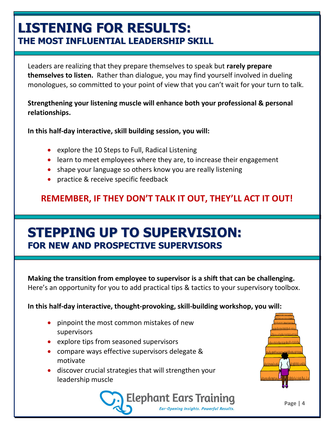# **LISTENING FOR RESULTS: THE MOST INFLUENTIAL LEADERSHIP SKILL**

Leaders are realizing that they prepare themselves to speak but **rarely prepare themselves to listen.** Rather than dialogue, you may find yourself involved in dueling monologues, so committed to your point of view that you can't wait for your turn to talk.

**Strengthening your listening muscle will enhance both your professional & personal relationships.**

**In this half-day interactive, skill building session, you will:**

- explore the 10 Steps to Full, Radical Listening
- learn to meet employees where they are, to increase their engagement
- shape your language so others know you are really listening
- practice & receive specific feedback

### **REMEMBER, IF THEY DON'T TALK IT OUT, THEY'LL ACT IT OUT!**

## **STEPPING UP TO SUPERVISION: FOR NEW AND PROSPECTIVE SUPERVISORS**

**Making the transition from employee to supervisor is a shift that can be challenging.**  Here's an opportunity for you to add practical tips & tactics to your supervisory toolbox.

**In this half-day interactive, thought-provoking, skill-building workshop, you will:**

- pinpoint the most common mistakes of new supervisors
- explore tips from seasoned supervisors
- compare ways effective supervisors delegate & motivate
- discover crucial strategies that will strengthen your leadership muscle





**Page | 4**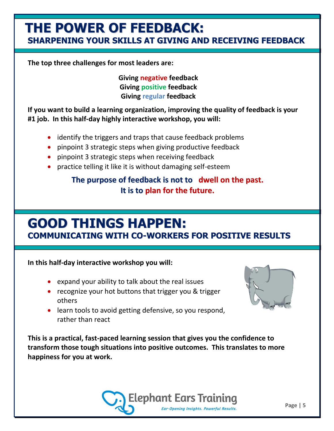### **THE POWER OF FEEDBACK: SHARPENING YOUR SKILLS AT GIVING AND RECEIVING FEEDBACK**

**The top three challenges for most leaders are:**

**Giving negative feedback Giving positive feedback Giving regular feedback**

**If you want to build a learning organization, improving the quality of feedback is your #1 job. In this half-day highly interactive workshop, you will:**

- identify the triggers and traps that cause feedback problems
- pinpoint 3 strategic steps when giving productive feedback
- pinpoint 3 strategic steps when receiving feedback
- practice telling it like it is without damaging self-esteem

### **The purpose of feedback is not to dwell on the past. It is to plan for the future.**

# **GOOD THINGS HAPPEN:**

**COMMUNICATING WITH CO-WORKERS FOR POSITIVE RESULTS**

#### **In this half-day interactive workshop you will:**

- expand your ability to talk about the real issues
- recognize your hot buttons that trigger you & trigger others
- 
- learn tools to avoid getting defensive, so you respond, rather than react

**This is a practical, fast-paced learning session that gives you the confidence to transform those tough situations into positive outcomes. This translates to more happiness for you at work.**

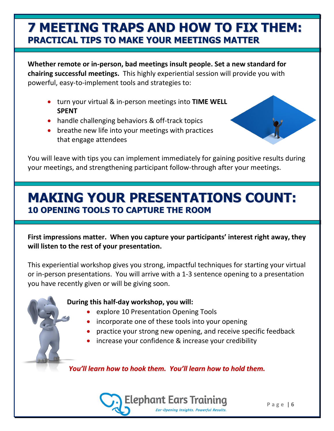### **7 MEETING TRAPS AND HOW TO FIX THEM: PRACTICAL TIPS TO MAKE YOUR MEETINGS MATTER**

**Whether remote or in-person, bad meetings insult people. Set a new standard for chairing successful meetings.** This highly experiential session will provide you with powerful, easy-to-implement tools and strategies to:

- turn your virtual & in-person meetings into **TIME WELL SPENT**
- handle challenging behaviors & off-track topics
- breathe new life into your meetings with practices that engage attendees



You will leave with tips you can implement immediately for gaining positive results during your meetings, and strengthening participant follow-through after your meetings.

# **MAKING YOUR PRESENTATIONS COUNT: 10 OPENING TOOLS TO CAPTURE THE ROOM**

**First impressions matter. When you capture your participants' interest right away, they will listen to the rest of your presentation.**

This experiential workshop gives you strong, impactful techniques for starting your virtual or in-person presentations. You will arrive with a 1-3 sentence opening to a presentation you have recently given or will be giving soon.

#### **During this half-day workshop, you will:**

- explore 10 Presentation Opening Tools
- incorporate one of these tools into your opening
- practice your strong new opening, and receive specific feedback
- increase your confidence & increase your credibility

*You'll learn how to hook them. You'll learn how to hold them.*

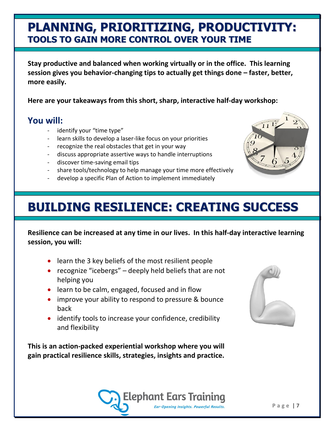### **PLANNING, PRIORITIZING, PRODUCTIVITY: TOOLS TO GAIN MORE CONTROL OVER YOUR TIME**

**Stay productive and balanced when working virtually or in the office. This learning session gives you behavior-changing tips to actually get things done – faster, better, more easily.** 

**Here are your takeaways from this short, sharp, interactive half-day workshop:**

### **You will:**

- identify your "time type"
- learn skills to develop a laser-like focus on your priorities
- recognize the real obstacles that get in your way
- discuss appropriate assertive ways to handle interruptions
- discover time-saving email tips
- share tools/technology to help manage your time more effectively
- develop a specific Plan of Action to implement immediately

# **BUILDING RESILIENCE: CREATING SUCCESS**

**Resilience can be increased at any time in our lives. In this half-day interactive learning session, you will:**

- learn the 3 key beliefs of the most resilient people
- recognize "icebergs" deeply held beliefs that are not helping you
- learn to be calm, engaged, focused and in flow
- improve your ability to respond to pressure & bounce back
- identify tools to increase your confidence, credibility and flexibility

**This is an action-packed experiential workshop where you will gain practical resilience skills, strategies, insights and practice.**





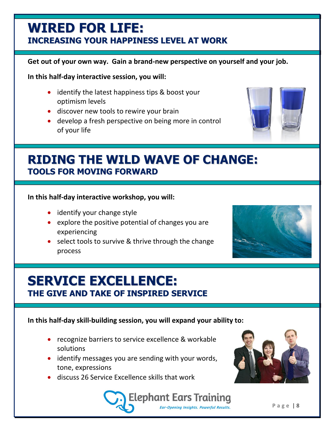### **WIRED FOR LIFE: INCREASING YOUR HAPPINESS LEVEL AT WORK**

#### **Get out of your own way. Gain a brand-new perspective on yourself and your job.**

**In this half-day interactive session, you will:**

- identify the latest happiness tips & boost your optimism levels
- discover new tools to rewire your brain
- develop a fresh perspective on being more in control of your life



#### **In this half-day interactive workshop, you will:**

- identify your change style
- explore the positive potential of changes you are experiencing
- select tools to survive & thrive through the change process



# **SERVICE EXCELLENCE: THE GIVE AND TAKE OF INSPIRED SERVICE**

#### **In this half-day skill-building session, you will expand your ability to:**

- recognize barriers to service excellence & workable solutions
- identify messages you are sending with your words, tone, expressions
- discuss 26 Service Excellence skills that work



**Elephant Ears Training** Ear-Opening Insights. Powerful Results.